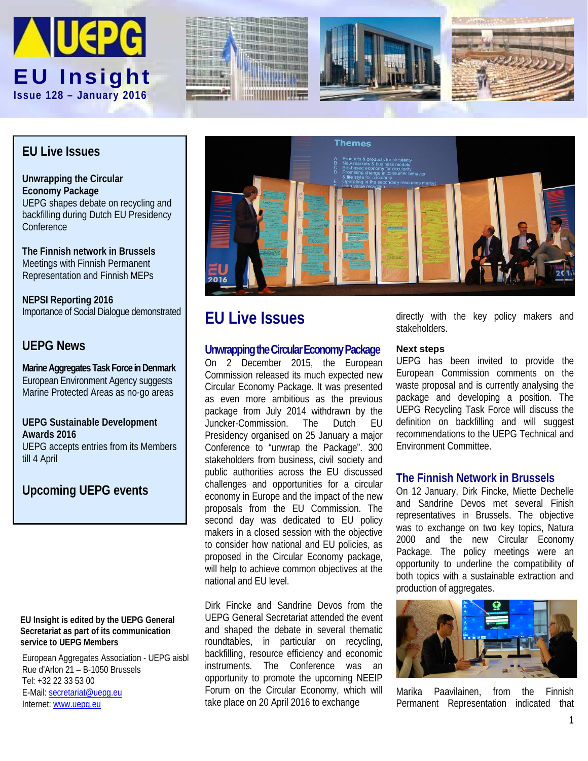







## **EU Live Issues**

**Unwrapping the Circular Economy Package** UEPG shapes debate on recycling and backfilling during Dutch EU Presidency **Conference** 

**The Finnish network in Brussels**  Meetings with Finnish Permanent Representation and Finnish MEPs

**NEPSI Reporting 2016** Importance of Social Dialogue demonstrated

## **UEPG News**

**Marine Aggregates Task Force in Denmark** European Environment Agency suggests Marine Protected Areas as no-go areas

**UEPG Sustainable Development Awards 2016** UEPG accepts entries from its Members till 4 April

## **Upcoming UEPG events**

#### **EU Insight is edited by the UEPG General Secretariat as part of its communication service to UEPG Members**

European Aggregates Association - UEPG aisbl Rue d'Arlon 21 – B-1050 Brussels Tel: +32 22 33 53 00 E-Mail: [secretariat@uepg.eu](mailto:secretariat@uepg.eu) Internet[: www.uepg.eu](http://www.uepg.eu/)



# **EU Live Issues**

#### **Unwrapping the Circular Economy Package**

On 2 December 2015, the European Commission released its much expected new Circular Economy Package. It was presented as even more ambitious as the previous package from July 2014 withdrawn by the<br>Juncker-Commission. The Dutch EU Juncker-Commission. The Presidency organised on 25 January a major Conference to "unwrap the Package". 300 stakeholders from business, civil society and public authorities across the EU discussed challenges and opportunities for a circular economy in Europe and the impact of the new proposals from the EU Commission. The second day was dedicated to EU policy makers in a closed session with the objective to consider how national and EU policies, as proposed in the Circular Economy package, will help to achieve common objectives at the national and EU level.

Dirk Fincke and Sandrine Devos from the UEPG General Secretariat attended the event and shaped the debate in several thematic roundtables, in particular on recycling, backfilling, resource efficiency and economic instruments. The Conference was an opportunity to promote the upcoming NEEIP Forum on the Circular Economy, which will take place on 20 April 2016 to exchange

directly with the key policy makers and stakeholders.

#### **Next steps**

UEPG has been invited to provide the European Commission comments on the waste proposal and is currently analysing the package and developing a position. The UEPG Recycling Task Force will discuss the definition on backfilling and will suggest recommendations to the UEPG Technical and Environment Committee.

### **The Finnish Network in Brussels**

On 12 January, Dirk Fincke, Miette Dechelle and Sandrine Devos met several Finish representatives in Brussels. The objective was to exchange on two key topics, Natura 2000 and the new Circular Economy Package. The policy meetings were an opportunity to underline the compatibility of both topics with a sustainable extraction and production of aggregates.



Marika Paavilainen, from the Finnish Permanent Representation indicated that